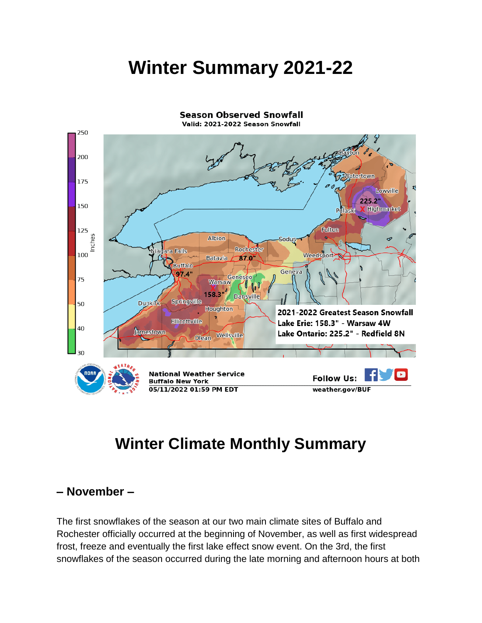# **Winter Summary 2021-22**



## **Winter Climate Monthly Summary**

#### **– November –**

The first snowflakes of the season at our two main climate sites of Buffalo and Rochester officially occurred at the beginning of November, as well as first widespread frost, freeze and eventually the first lake effect snow event. On the 3rd, the first snowflakes of the season occurred during the late morning and afternoon hours at both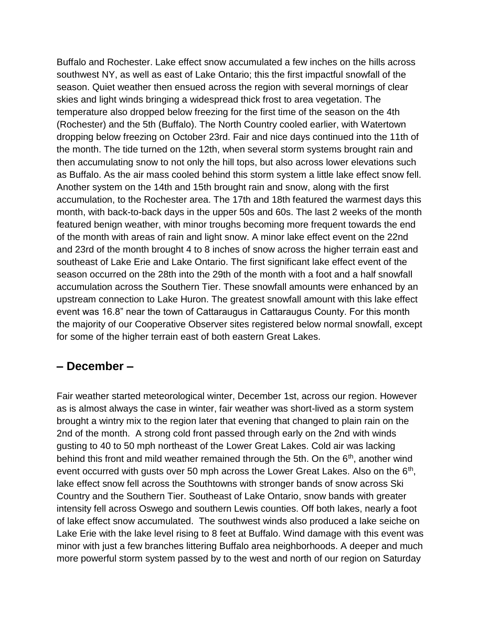Buffalo and Rochester. Lake effect snow accumulated a few inches on the hills across southwest NY, as well as east of Lake Ontario; this the first impactful snowfall of the season. Quiet weather then ensued across the region with several mornings of clear skies and light winds bringing a widespread thick frost to area vegetation. The temperature also dropped below freezing for the first time of the season on the 4th (Rochester) and the 5th (Buffalo). The North Country cooled earlier, with Watertown dropping below freezing on October 23rd. Fair and nice days continued into the 11th of the month. The tide turned on the 12th, when several storm systems brought rain and then accumulating snow to not only the hill tops, but also across lower elevations such as Buffalo. As the air mass cooled behind this storm system a little lake effect snow fell. Another system on the 14th and 15th brought rain and snow, along with the first accumulation, to the Rochester area. The 17th and 18th featured the warmest days this month, with back-to-back days in the upper 50s and 60s. The last 2 weeks of the month featured benign weather, with minor troughs becoming more frequent towards the end of the month with areas of rain and light snow. A minor lake effect event on the 22nd and 23rd of the month brought 4 to 8 inches of snow across the higher terrain east and southeast of Lake Erie and Lake Ontario. The first significant lake effect event of the season occurred on the 28th into the 29th of the month with a foot and a half snowfall accumulation across the Southern Tier. These snowfall amounts were enhanced by an upstream connection to Lake Huron. The greatest snowfall amount with this lake effect event was 16.8" near the town of Cattaraugus in Cattaraugus County. For this month the majority of our Cooperative Observer sites registered below normal snowfall, except for some of the higher terrain east of both eastern Great Lakes.

#### **– December –**

Fair weather started meteorological winter, December 1st, across our region. However as is almost always the case in winter, fair weather was short-lived as a storm system brought a wintry mix to the region later that evening that changed to plain rain on the 2nd of the month. A strong cold front passed through early on the 2nd with winds gusting to 40 to 50 mph northeast of the Lower Great Lakes. Cold air was lacking behind this front and mild weather remained through the 5th. On the  $6<sup>th</sup>$ , another wind event occurred with gusts over 50 mph across the Lower Great Lakes. Also on the  $6<sup>th</sup>$ , lake effect snow fell across the Southtowns with stronger bands of snow across Ski Country and the Southern Tier. Southeast of Lake Ontario, snow bands with greater intensity fell across Oswego and southern Lewis counties. Off both lakes, nearly a foot of lake effect snow accumulated. The southwest winds also produced a lake seiche on Lake Erie with the lake level rising to 8 feet at Buffalo. Wind damage with this event was minor with just a few branches littering Buffalo area neighborhoods. A deeper and much more powerful storm system passed by to the west and north of our region on Saturday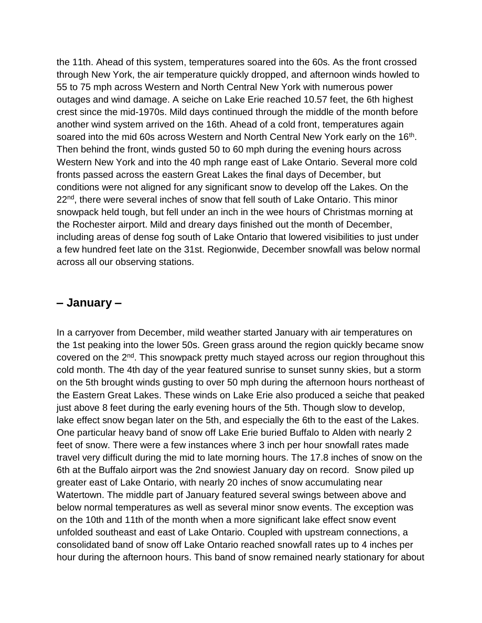the 11th. Ahead of this system, temperatures soared into the 60s. As the front crossed through New York, the air temperature quickly dropped, and afternoon winds howled to 55 to 75 mph across Western and North Central New York with numerous power outages and wind damage. A seiche on Lake Erie reached 10.57 feet, the 6th highest crest since the mid-1970s. Mild days continued through the middle of the month before another wind system arrived on the 16th. Ahead of a cold front, temperatures again soared into the mid 60s across Western and North Central New York early on the  $16<sup>th</sup>$ . Then behind the front, winds gusted 50 to 60 mph during the evening hours across Western New York and into the 40 mph range east of Lake Ontario. Several more cold fronts passed across the eastern Great Lakes the final days of December, but conditions were not aligned for any significant snow to develop off the Lakes. On the 22<sup>nd</sup>, there were several inches of snow that fell south of Lake Ontario. This minor snowpack held tough, but fell under an inch in the wee hours of Christmas morning at the Rochester airport. Mild and dreary days finished out the month of December, including areas of dense fog south of Lake Ontario that lowered visibilities to just under a few hundred feet late on the 31st. Regionwide, December snowfall was below normal across all our observing stations.

#### **– January –**

In a carryover from December, mild weather started January with air temperatures on the 1st peaking into the lower 50s. Green grass around the region quickly became snow covered on the 2nd. This snowpack pretty much stayed across our region throughout this cold month. The 4th day of the year featured sunrise to sunset sunny skies, but a storm on the 5th brought winds gusting to over 50 mph during the afternoon hours northeast of the Eastern Great Lakes. These winds on Lake Erie also produced a seiche that peaked just above 8 feet during the early evening hours of the 5th. Though slow to develop, lake effect snow began later on the 5th, and especially the 6th to the east of the Lakes. One particular heavy band of snow off Lake Erie buried Buffalo to Alden with nearly 2 feet of snow. There were a few instances where 3 inch per hour snowfall rates made travel very difficult during the mid to late morning hours. The 17.8 inches of snow on the 6th at the Buffalo airport was the 2nd snowiest January day on record. Snow piled up greater east of Lake Ontario, with nearly 20 inches of snow accumulating near Watertown. The middle part of January featured several swings between above and below normal temperatures as well as several minor snow events. The exception was on the 10th and 11th of the month when a more significant lake effect snow event unfolded southeast and east of Lake Ontario. Coupled with upstream connections, a consolidated band of snow off Lake Ontario reached snowfall rates up to 4 inches per hour during the afternoon hours. This band of snow remained nearly stationary for about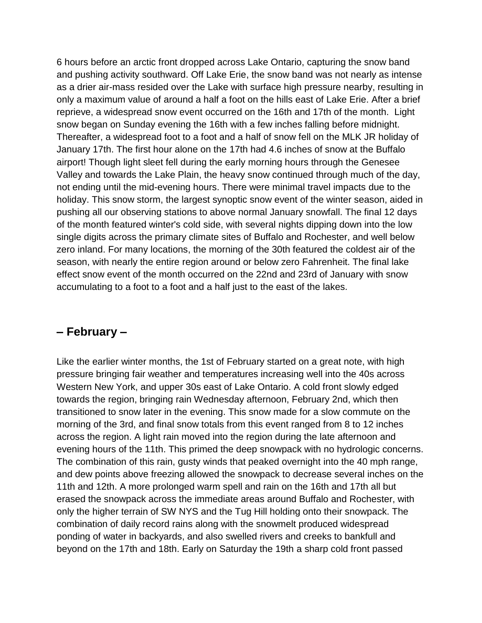6 hours before an arctic front dropped across Lake Ontario, capturing the snow band and pushing activity southward. Off Lake Erie, the snow band was not nearly as intense as a drier air-mass resided over the Lake with surface high pressure nearby, resulting in only a maximum value of around a half a foot on the hills east of Lake Erie. After a brief reprieve, a widespread snow event occurred on the 16th and 17th of the month. Light snow began on Sunday evening the 16th with a few inches falling before midnight. Thereafter, a widespread foot to a foot and a half of snow fell on the MLK JR holiday of January 17th. The first hour alone on the 17th had 4.6 inches of snow at the Buffalo airport! Though light sleet fell during the early morning hours through the Genesee Valley and towards the Lake Plain, the heavy snow continued through much of the day, not ending until the mid-evening hours. There were minimal travel impacts due to the holiday. This snow storm, the largest synoptic snow event of the winter season, aided in pushing all our observing stations to above normal January snowfall. The final 12 days of the month featured winter's cold side, with several nights dipping down into the low single digits across the primary climate sites of Buffalo and Rochester, and well below zero inland. For many locations, the morning of the 30th featured the coldest air of the season, with nearly the entire region around or below zero Fahrenheit. The final lake effect snow event of the month occurred on the 22nd and 23rd of January with snow accumulating to a foot to a foot and a half just to the east of the lakes.

#### **– February –**

Like the earlier winter months, the 1st of February started on a great note, with high pressure bringing fair weather and temperatures increasing well into the 40s across Western New York, and upper 30s east of Lake Ontario. A cold front slowly edged towards the region, bringing rain Wednesday afternoon, February 2nd, which then transitioned to snow later in the evening. This snow made for a slow commute on the morning of the 3rd, and final snow totals from this event ranged from 8 to 12 inches across the region. A light rain moved into the region during the late afternoon and evening hours of the 11th. This primed the deep snowpack with no hydrologic concerns. The combination of this rain, gusty winds that peaked overnight into the 40 mph range, and dew points above freezing allowed the snowpack to decrease several inches on the 11th and 12th. A more prolonged warm spell and rain on the 16th and 17th all but erased the snowpack across the immediate areas around Buffalo and Rochester, with only the higher terrain of SW NYS and the Tug Hill holding onto their snowpack. The combination of daily record rains along with the snowmelt produced widespread ponding of water in backyards, and also swelled rivers and creeks to bankfull and beyond on the 17th and 18th. Early on Saturday the 19th a sharp cold front passed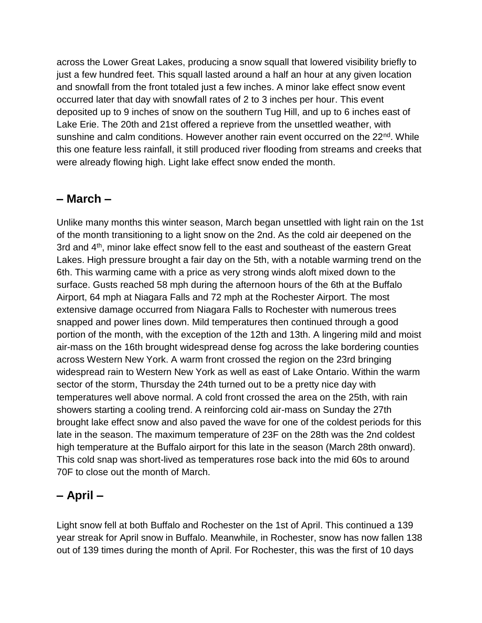across the Lower Great Lakes, producing a snow squall that lowered visibility briefly to just a few hundred feet. This squall lasted around a half an hour at any given location and snowfall from the front totaled just a few inches. A minor lake effect snow event occurred later that day with snowfall rates of 2 to 3 inches per hour. This event deposited up to 9 inches of snow on the southern Tug Hill, and up to 6 inches east of Lake Erie. The 20th and 21st offered a reprieve from the unsettled weather, with sunshine and calm conditions. However another rain event occurred on the  $22<sup>nd</sup>$ . While this one feature less rainfall, it still produced river flooding from streams and creeks that were already flowing high. Light lake effect snow ended the month.

#### **– March –**

Unlike many months this winter season, March began unsettled with light rain on the 1st of the month transitioning to a light snow on the 2nd. As the cold air deepened on the 3rd and 4<sup>th</sup>, minor lake effect snow fell to the east and southeast of the eastern Great Lakes. High pressure brought a fair day on the 5th, with a notable warming trend on the 6th. This warming came with a price as very strong winds aloft mixed down to the surface. Gusts reached 58 mph during the afternoon hours of the 6th at the Buffalo Airport, 64 mph at Niagara Falls and 72 mph at the Rochester Airport. The most extensive damage occurred from Niagara Falls to Rochester with numerous trees snapped and power lines down. Mild temperatures then continued through a good portion of the month, with the exception of the 12th and 13th. A lingering mild and moist air-mass on the 16th brought widespread dense fog across the lake bordering counties across Western New York. A warm front crossed the region on the 23rd bringing widespread rain to Western New York as well as east of Lake Ontario. Within the warm sector of the storm, Thursday the 24th turned out to be a pretty nice day with temperatures well above normal. A cold front crossed the area on the 25th, with rain showers starting a cooling trend. A reinforcing cold air-mass on Sunday the 27th brought lake effect snow and also paved the wave for one of the coldest periods for this late in the season. The maximum temperature of 23F on the 28th was the 2nd coldest high temperature at the Buffalo airport for this late in the season (March 28th onward). This cold snap was short-lived as temperatures rose back into the mid 60s to around 70F to close out the month of March.

### **– April –**

Light snow fell at both Buffalo and Rochester on the 1st of April. This continued a 139 year streak for April snow in Buffalo. Meanwhile, in Rochester, snow has now fallen 138 out of 139 times during the month of April. For Rochester, this was the first of 10 days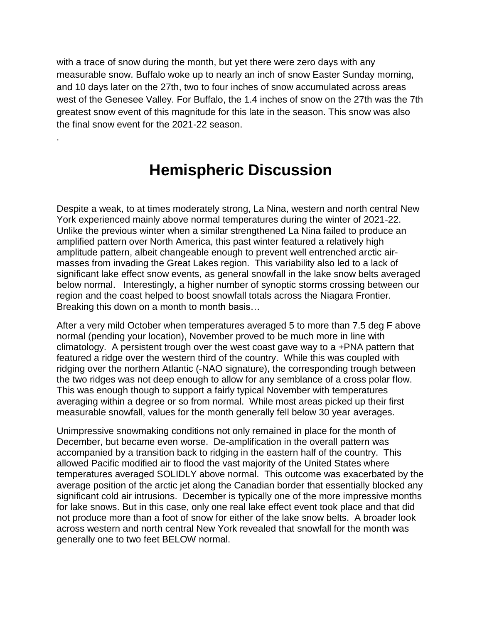with a trace of snow during the month, but yet there were zero days with any measurable snow. Buffalo woke up to nearly an inch of snow Easter Sunday morning, and 10 days later on the 27th, two to four inches of snow accumulated across areas west of the Genesee Valley. For Buffalo, the 1.4 inches of snow on the 27th was the 7th greatest snow event of this magnitude for this late in the season. This snow was also the final snow event for the 2021-22 season.

### **Hemispheric Discussion**

.

Despite a weak, to at times moderately strong, La Nina, western and north central New York experienced mainly above normal temperatures during the winter of 2021-22. Unlike the previous winter when a similar strengthened La Nina failed to produce an amplified pattern over North America, this past winter featured a relatively high amplitude pattern, albeit changeable enough to prevent well entrenched arctic airmasses from invading the Great Lakes region. This variability also led to a lack of significant lake effect snow events, as general snowfall in the lake snow belts averaged below normal. Interestingly, a higher number of synoptic storms crossing between our region and the coast helped to boost snowfall totals across the Niagara Frontier. Breaking this down on a month to month basis…

After a very mild October when temperatures averaged 5 to more than 7.5 deg F above normal (pending your location), November proved to be much more in line with climatology. A persistent trough over the west coast gave way to a +PNA pattern that featured a ridge over the western third of the country. While this was coupled with ridging over the northern Atlantic (-NAO signature), the corresponding trough between the two ridges was not deep enough to allow for any semblance of a cross polar flow. This was enough though to support a fairly typical November with temperatures averaging within a degree or so from normal. While most areas picked up their first measurable snowfall, values for the month generally fell below 30 year averages.

Unimpressive snowmaking conditions not only remained in place for the month of December, but became even worse. De-amplification in the overall pattern was accompanied by a transition back to ridging in the eastern half of the country. This allowed Pacific modified air to flood the vast majority of the United States where temperatures averaged SOLIDLY above normal. This outcome was exacerbated by the average position of the arctic jet along the Canadian border that essentially blocked any significant cold air intrusions. December is typically one of the more impressive months for lake snows. But in this case, only one real lake effect event took place and that did not produce more than a foot of snow for either of the lake snow belts. A broader look across western and north central New York revealed that snowfall for the month was generally one to two feet BELOW normal.